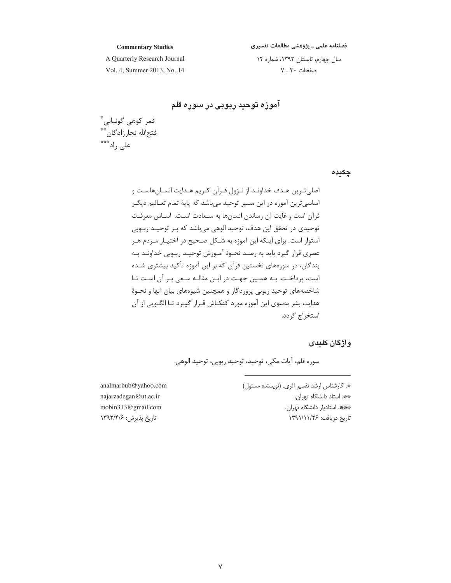# فصلنامه علمی ــ پژوهشی مطالعات تفسیری

**Commentary Studies**

سال چهارم، تابستان ۱۳۹۲، شماره ۱۴ صفحات ۳۰ ـ ۷

A Quarterly Research Journal Vol. 4, Summer 2013, No. 14

**اموزه توحید ربوبی در سوره قلم** 

قمر كوهى گونيانى<sup>\*</sup> فتحالله نجارزادگان\*\* على راد\*\*\*

**چکیدہ** 

-"@D(0DB@ D(4D30NDS"/D% D" T5 D( D1- D\$4D1G1[\*+3 !- '&1B
 #%&
N 1- @DED ]@DCD+(0B0 0N@\"@0N -&D D'&1D+3 !- -(& '&1F5 ( ^V1 '&1 D(GD
D,T>DQXD!+#%&
N +XA .@&, +D D" T -&D D'&1K%&D
N\_&D D+ ? # D! , 3a1#%&
N +30N ,B` (#&F0? A D1@D0ND -D+DV
 D@D D(+D]@DT\*F@ \_&D"N0 (#&! Ab("?"\* -& '&1 (+T! 0N%-&D\$D1D?DKDXA3&
#%&
N &+@ ( ]?c`,

## **واژگان کلیدی**

سوره قلم، أيات مكي، توحيد، توحيد ربوبي، توحيد الوهي.

\*. كارشناس ارشد تفسير اثرى. (نويسنده مسئول) \*\*. استاد دانشگاه تهران. \*\*\*. استاديار دانشگاه تهران. اریخ دریافت: ۱۳۹۱/۱۱/۲۶ N

analmarbub@yahoo.comnajarzadegan@ut.ac.ir--mobin313@gmail.com-تاریخ پذیرش: ۱۳۹۲/۴/۶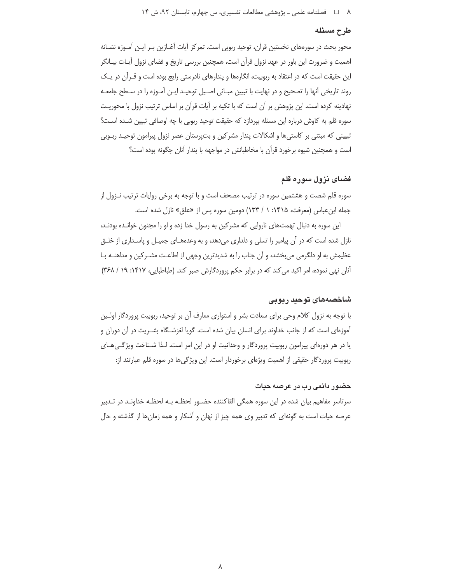#### طرح مسئله

محور بحث در سورههای نخستین قرآن، توحید ربوبی است. تمرکز آیات آغـازین بـر ایـن آمـوزه نشـانه اهمیت و ضرورت این باور در عهد نزول قرآن است، همچنین بررسی تاریخ و فضای نزول آیـات بیـانگر این حقیقت است که در اعتقاد به ربوبیت، انگارهها و پندارهای نادرستی رایج بوده است و قـراًن در یـک روند تاریخی آنها را تصحیح و در نهایت با تبیین مبـانی اصـیل توحیـد ایـن آمـوزه را در سـطح جامعـه نهادینه کرده است. این پژوهش بر آن است که با تکیه بر آیات قرآن بر اساس ترتیب نزول با محوریـت سوره قلم به كاوش درباره اين مسئله بپردازد كه حقيقت توحيد ربوبي با چه اوصافي تبيين شـده اسـت؟ تبیینی که مبتنی بر کاستی ها و اشکالات پندار مشرکین و بت پرستان عصر نزول پیرامون توحیـد ربـوبی است و همچنین شیوه برخورد قرآن با مخاطبانش در مواجهه با پندار آنان چگونه بوده است؟

# فضای نزول سوره قلم

سوره قلم شصت و هشتمین سوره در ترتیب مصحف است و با توجه به برخی روایات ترتیب نـزول از جمله ابن عباس (معرفت، ۱۴۱۵: ۱ / ۱۳۳) دومین سوره پس از «علق» نازل شده است.

این سوره به دنبال تهمتهای ناروایی که مشرکین به رسول خدا زده و او را مجنون خوانـده بودنـد، نازل شده است که در آن پیامبر را تسلی و دلداری میدهد، و به وعدههـای جمیـل و پاسـداری از خلـق عظیمش به او دلگرمی می بخشد، و آن جناب را به شدیدترین وجهی از اطاعـت مشـر کین و مداهنـه بـا آنان نهی نموده، امر اکید می کند که در برابر حکم پروردگارش صبر کند. (طباطبایی، ۱۴۱۷: ۱۹ / ۳۶۸)

## شاخصەھای توحید ربوبی

با توجه به نزول کلام وحی برای سعادت بشر و استواری معارف آن بر توحید، ربوبیت پروردگار اولـین آموزهای است که از جانب خداوند برای انسان بیان شده است. گویا لغزشـگاه بشـریت در آن دوران و یا در هر دورهای پیرامون ربوبیت پروردگار و وحدانیت او در این امر است. لـذا شـناخت ویژگـیِهـای ربوبیت پروردگار حقیقی از اهمیت ویژهای برخوردار است. این ویژگیها در سوره قلم عبارتند از:

## حضور دائمی رب در عرصه حیات

سرتاسر مفاهیم بیان شده در این سوره همگی القاکننده حضـور لحظـه بـه لحظـه خداونـد در تـدبیر عرصه حیات است به گونهای که تدبیر وی همه چیز از نهان و آشکار و همه زمانها از گذشته و حال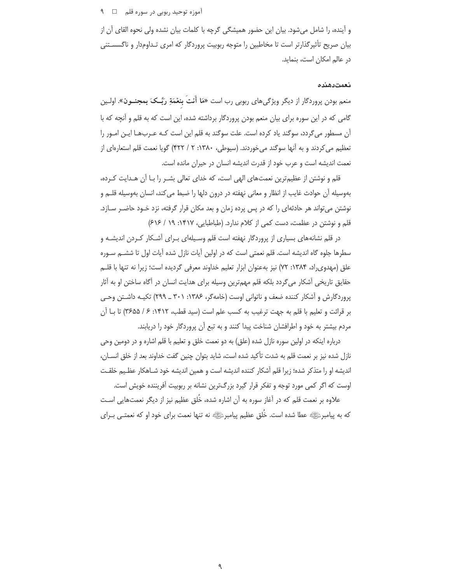آموزه توحید ربوبی در سوره قلم ۔□ ۹

و آینده، را شامل میشود. بیان این حضور همیشگی گرچه با کلمات بیان نشده ولی نحوه القای آن از بیان صریح تأثیرگذارتر است تا مخاطبین را متوجه ربوبیت پروردگار که امری تـداومدار و ناگسسـتنی در عالم امکان است، بنماید.

#### نعمت دهنده

منعم بودن پروردگار از دیگر ویژگیهای ربوبی رب است «مَا أَنتَ بِنعْمَةِ رَبِّـکَ بِمجنــون». اولــین گامی که در این سوره برای بیان منعم بودن پروردگار برداشته شده، این است که به قلم و آنچه که با آن مسطور می گردد، سوگند یاد کرده است. علت سوگند به قلم این است کـه عـربهـا ایـن امـور را تعظیم می کردند و به آنها سوگند می خوردند. (سیوطی، ۱۳۸۰: ۲ / ۴۲۲) گویا نعمت قلم استعارهای از نعمت اندیشه است و عرب خود از قدرت اندیشه انسان در حیران مانده است.

قلم و نوشتن از عظیم ترین نعمتهای الهی است، که خدای تعالی بشـر را بـا آن هـدایت کـرده، بهوسیله آن حوادث غایب از انظار و معانی نهفته در درون دلها را ضبط می کند، انسان بهوسیله قلــم و نوشتن می تواند هر حادثهای را که در پس پرده زمان و بعد مکان قرار گرفته، نزد خـود حاضـر سـازد. قلم و نوشتن در عظمت، دست کمی از کلام ندارد. (طباطبایی، ۱۴۱۷: ۱۹ / ۶۱۶)

در قلم نشانههای بسیاری از پروردگار نهفته است قلم وسـیلهای بـرای آشـکار کـردن اندیشـه و سطرها جلوه گاه اندیشه است. قلم نعمتی است که در اولین آیات نازل شده آیات اول تا ششـم سـوره علق (مهدوی اد، ۱۳۸۴: ۷۲) نیز بهعنوان ابزار تعلیم خداوند معرفی گردیده است؛ زیرا نه تنها با قلــم حقایق تاریخی آشکار می گردد بلکه قلم مهمترین وسیله برای هدایت انسان در آگاه ساختن او به آثار پروردگارش و آشکار کننده ضعف و ناتوانی اوست (خامهگر، ۱۳۸۶: ۳۰۱ ـ ۲۹۹) تکیـه داشـتن وحـی بر قرائت و تعليم با قلم به جهت ترغيب به كسب علم است (سيد قطب، ١۴١٢: ۶ / ٣۶۵۵) تا بــا آن مردم بیشتر به خود و اطرافشان شناخت پیدا کنند و به تبع آن پروردگار خود را دریابند.

درباره اینکه در اولین سوره نازل شده (علق) به دو نعمت خلق و تعلیم با قلم اشاره و در دومین وحی نازل شده نیز بر نعمت قلم به شدت تأکید شده است، شاید بتوان چنین گفت خداوند بعد از خلق انســان، اندیشه او را متذکر شده؛ زیرا قلم آشکار کننده اندیشه است و همین اندیشه خود شـاهکار عظـیم خلقـت اوست که اگر کمی مورد توجه و تفکر قرار گیرد بزرگترین نشانه بر ربوبیت آفریننده خویش است.

علاوه بر نعمت قلم که در آغاز سوره به آن اشاره شده، خُلق عظیم نیز از دیگر نعمتهایی اسـت که به پیامبرﷺ عطا شده است. خُلق عظیم پیامبرﷺ نه تنها نعمت برای خود او که نعمتـی بـرای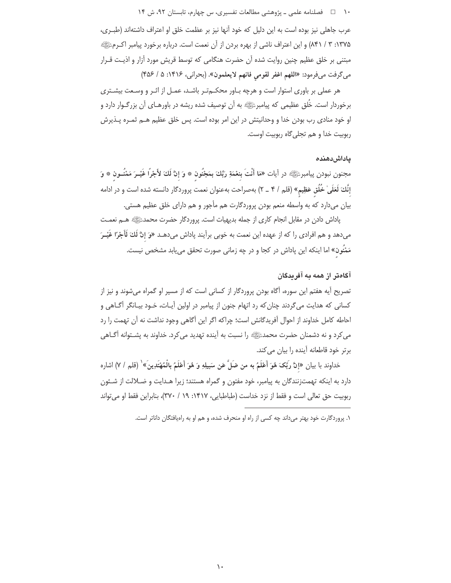عرب جاهلي نيز بوده است به اين دليل كه خود آنها نيز بر عظمت خلق او اعتراف داشتهاند (طبـرى، ۱۳۷۵: ۳ / ۸۴۱) و این اعتراف ناشی از بهره بردن از آن نعمت است. درباره برخورد پیامبر اکـرمﷺ مبتنی بر خلق عظیم چنین روایت شده آن حضرت هنگامی که توسط قریش مورد آزار و اذیـت قـرار مي گرفت مي فرمود: «اللهم اغفر لقومي فانهم لايعلمون». (بحراني، ١۴١۶: ۵ / ۴۵۶)

هر عملی بر باوری استوار است و هرچه بـاور محکـمتـر باشـد، عمـل از اثـر و وسـعت بیشـتری برخوردار است. خُلق عظیمی که پیامبرﷺ به آن توصیف شده ریشه در باورهـای آن بزرگـوار دارد و او خود منادی رب بودن خدا و وحدانیتش در این امر بوده است. پس خلق عظیم هـم ثمـره پـذیرش ربوبيت خدا و هم تجلي گاه ربوبيت اوست.

## ياداش دهنده

مجنون نبودن پيامبرﷺ در آيات «مَا أَنْتَ بنعْمَةِ رَبِّكَ بِمَجْنُون ۞ وَ إنَّ لَكَ لأَجْرًا غَيْــرَ مَمْنُــون ۞ وَ إنَّكَ لَعَلَىٰ خُلُق عَظِيمٍ» (قلم / ۴ \_ ۲) بهصراحت بهعنوان نعمت پروردگار دانسته شده است و در ادامه بیان می دارد که به واسطه منعم بودن پروردگارت هم مأجور و هم دارای خلق عظیم هستی.

پاداش دادن در مقابل انجام کاری از جمله بدیهیات است. پروردگار حضرت محمدﷺ هـم نعمـت می<هد و هم افرادی را که از عهده این نعمت به خوبی برآیند پاداش می<هـد «وَ إنَّ لَكَ لَأَجْرًا غَيْـرَ مَمْنُون» اما اینکه این پاداش در کجا و در چه زمانی صورت تحقق می یابد مشخص نیست.

# آگاهتر از همه به آفریدگان

تصریح آیه هفتم این سوره، آگاه بودن پروردگار از کسانی است که از مسیر او گمراه میشوند و نیز از کسانی که هدایت میگردند چنان که رد اتهام جنون از پیامبر در اولین آیـات، خـود بیـانگر آگـاهی و احاطه كامل خداوند از احوال آفریدگانش است؛ چراكه اگر این آگاهی وجود نداشت نه آن تهمت را رد می کرد و نه دشمنان حضرت محمدﷺ را نسبت به آینده تهدید می کرد. خداوند به پشـتوانه آگـاهی برتر خود قاطعانه آینده را بیان می کند.

خداوند با بيان «إنَّ رَبِّكَ هُوَ أَعْلَمُ به من ضَلَّ عَن سَبِيلِهِ وَ هُوَ أَعْلَمُ بِالْمُهْتَدِينَ» ( (قلم / ٧) اشاره دارد به اینکه تهمتزنندگان به پیامبر، خود مفتون و گمراه هستند؛ زیرا هـدایت و ضـلالت از شـئون ربوبيت حق تعالى است و فقط از نزد خداست (طباطبايي، ١۴١٧: ١٩ / ٣٧٠)، بنابراين فقط او مي تواند

١. پروردگارت خود بهتر میداند چه کسی از راه او منحرف شده، و هم او به راهپافتگان داناتر است.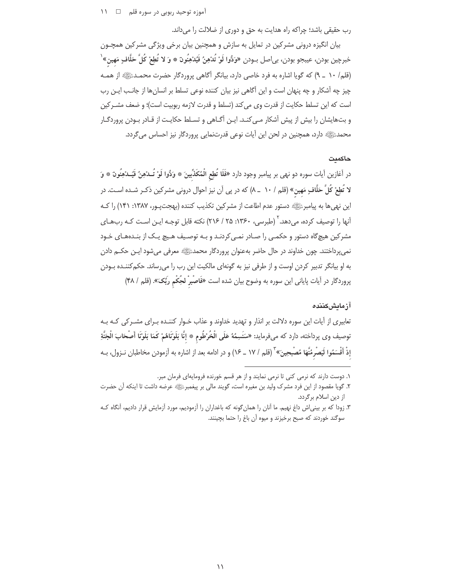رب حقیقی باشد؛ چراکه راه هدایت به حق و دوری از ضلالت را می داند.

بیان انگیزه درونی مشرکین در تمایل به سازش و همچنین بیان برخی ویژگی مشرکین همچـون خبرچين بودن، عيبجو بودن، بى|صل بــودن «وَدُّوا لَوْ تُدْهِنُ فَيُدْهِنُونَ \* وَ لا تُطِعْ كُلَّ حَلَّافٍ مَهين» ٰ (قلم/ ١٠ \_ ٩) كه گويا اشاره به فرد خاصي دارد، بيانگر أَكَاهي پروردگار حضرت محمـدﷺ از همـه چیز چه آشکار و چه پنهان است و این آگاهی نیز بیان کننده نوعی تسلط بر انسانها از جانب ایـن رب است كه اين تسلط حكايت از قدرت وي مي كند (تسلط و قدرت لازمه ربوبيت است)؛ و ضعف مشـركين و بتهایشان را بیش از پیش آشکار مـیکنـد. ایـن آگـاهی و تسـلط حکایـت از قـادر بـودن پروردگـار محمدﷺ دارد، همچنین در لحن این آیات نوعی قدرتنمایی پروردگار نیز احساس می گردد.

#### حاكمت

در أغازين أيات سوره دو نهى بر پيامبر وجود دارد «فَلَا تُطِع الْمُكَذِّبينَ \* وَدُّوا لَوْ تُــدْهِنُ فَيُــدْهِنُونَ \* وَ لا تُطِعْ كُلَّ حَلَّافٍ مَهين» (قلم / ١٠ \_ ٨) كه در پي آن نيز احوال دروني مشركين ذكـر شـده اسـت. در این نهی ها به پیامبرﷺ دستور عدم اطاعت از مشرکین تکذیب کننده (بهجت پور، ۱۳۸۷: ۱۴۱) را ک آنها را توصیف کرده، می دهد. <sup>۲</sup> (طبرسی، ۱۳۶۰: ۲۵ / ۲۱۶) نکته قابل توجـه ایـن اسـت کـه رب@ای مشرکین هیچگاه دستور و حکمبی را صـادر نمـی کردنـد و بـه توصـیف هـیچ یـک از بنـدههـای خـود نمي پرداختند. چون خداوند در حال حاضر بهعنوان پروردگار محمدﷺ معرفی میشود ایـن حکــم دادن به او بیانگر تدبیر کردن اوست و از طرفی نیز به گونهای مالکیت این رب را می رساند. حکم کننــده بـودن پروردگار در آیات پایانی این سوره به وضوح بیان شده است «فَاصْبِرْ لحِكْم ربِّكَ». (قلم / ۴۸)

## آز مایش کننده

تعابیری از آیات این سوره دلالت بر انذار و تهدید خداوند و عذاب خـوار کننـده بـرای مشـرکی کـه بـه توصيف وي پرداخته، دارد كه مىفرمايد: «سَنَسِمُهُ عَلَى الْخُرْطُوم \* إنَّا بَلَوْنَاهُمْ كَمَا بَلَوْنَا أَصْحَابَ الْجَنَّةِ إذْ أَقْسَمُوا لَيَصْرِمُنَّهَا مُصْبِحِينَ» ۖ (قلم / ١٧ ـ ١۶) و در ادامه بعد از اشاره به آزمودن مخاطبان نـزول، بـه

۱. دوست دارند که نرمی کنی تا نرمی نمایند و از هر قسم خورنده فرومایهای فرمان مبر.

٢. گويا مقصود از اين فرد مشرک وليد بن مغيره است، گويند مالي بر پيغمبرﷺ عرضه داشت تا اينکه آن حضرت از دین اسلام برگردد.

۳. زودا که بر بینی|ش داغ نهیم. ما آنان را همان گونه که باغداران را آزمودیم، مورد آزمایش قرار دادیم، آنگاه کـه سوگند خوردند که صبح برخیزند و میوه آن باغ را حتما بچینند.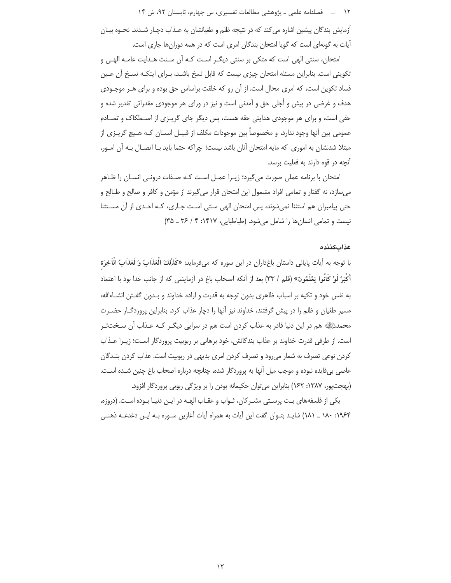۱۲ = □ فصلنامه علمی ـ یژوهشی مطالعات تفسیری، س چهارم، تابستان ۹۲، ش ۱۴

آزمایش بندگان پیشین اشاره می کند که در نتیجه ظلم و طغیانشان به عـذاب دچـار شـدند. نحـوه بیـان آیات به گونهای است که گویا امتحان بندگان امری است که در همه دورانها جاری است.

امتحان، سنتي الهي است كه متكي بر سنتي ديگـر اسـت كـه آن سـنت هـدايت عامـه الهـي و تکوینی است. بنابراین مسئله امتحان چیزی نیست که قابل نسخ باشـد، بـرای اینکـه نسـخ آن عـین فساد تکوین است، که امری محال است. از آن رو که خلقت براساس حق بوده و برای هـر موجـودی هدف و غرضی در پیش و أجلی حق و آمدنی است و نیز در ورای هر موجودی مقدراتی تقدیر شده و حقی است، و برای هر موجودی هدایتی حقه هست، پس دیگر جای گریـزی از اصـطکاک و تصـادم عمومی بین أنها وجود ندارد، و مخصوصاً بین موجودات مکلف از قبیـل انســان کـه هــیچ گریــزی از مبتلا شدنشان به اموری که مایه امتحان آنان باشد نیست؛ چراکه حتما باید بـا اتصـال بـه آن امـور، آنچه در قوه دارند به فعلیت برسد.

امتحان با برنامه عملی صورت میگیرد؛ زیـرا عمـل اسـت کـه صـفات درونـی انسـان را ظـاهر میسازد، نه گفتار و تمامی افراد مشمول این امتحان قرار می گیرند از مؤمن و کافر و صالح و طـالح و حتی پیامبران هم استثنا نمیشوند، پس امتحان الهی سنتی است جاری، کـه احـدی از آن مستثنا نیست و تمامی انسان ها را شامل می شود. (طباطبایی، ۱۴۱۷: ۴ / ۳۶ ـ ۳۵)

#### عذاب كننده

با توجه به آيات پاياني داستان باغداران در اين سوره كه ميفرمايد: «كَذَلِكَ الْعَذَابُ وَ لَعَذَابُ الْآخِرَة أَكْبَرُ لَوْ كَانُوا يَعْلَمُونَ» (قلم / ٣٣) بعد از أنكه اصحاب باغ در أزمايشي كه از جانب خدا بود با اعتماد به نفس خود و تکیه بر اسباب ظاهری بدون توجه به قدرت و اراده خداوند و بـدون گفـتن انشـاءالله، مسیر طغیان و ظلم را در پیش گرفتند، خداوند نیز آنها را دچار عذاب کرد. بنابراین پروردگــار حضــرت محمدﷺ هم در این دنیا قادر به عذاب کردن است هم در سرایی دیگـر کـه عـذاب آن سـختتـر است. از طرفی قدرت خداوند بر عذاب بندگانش، خود برهانی بر ربوبیت پروردگار است؛ زیـرا عـذاب کردن نوعی تصرف به شمار می رود و تصرف کردن امری بدیهی در ربوبیت است. عذاب کردن بنـدگان عاصی بی فایده نبوده و موجب میل آنها به پروردگار شده، چنانچه درباره اصحاب باغ چنین شـده اسـت. (بهجتپور، ۱۳۸۷: ۱۶۲) بنابراین میتوان حکیمانه بودن را بر ویژگی ربوبی پروردگار افزود.

يكي از فلسفههاي بت پرستي مشـركان، ثـواب و عقـاب الهـه در ايـن دنيـا بـوده اسـت. (دروزه، ۱۹۶۴: ۱۸۰ \_ ۱۸۱) شايـد بتـوان گفت اين آيات به همراه آيات آغازين سـوره بـه ايـن دغدغـه ذهنـي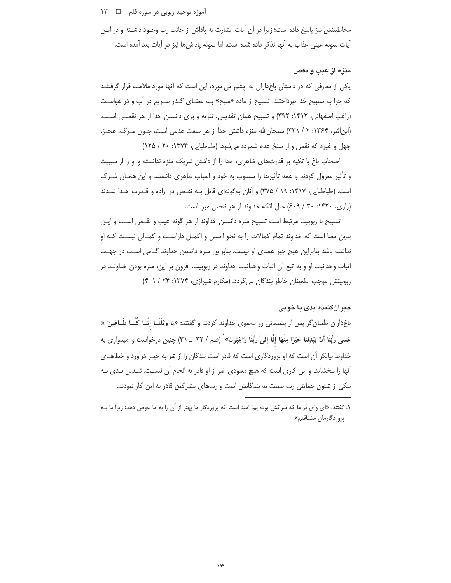آموزه توحید ربوبی در سوره قلم ⊃ ⊥ ۱۳

مخاطبينش نيز پاسخ داده است؛ زيرا در آن آيات، بشارت به پاداش از جانب رب وجـود داشــته و در ايــن أيات نمونه عيني عذاب به أنها تذكر داده شده است. اما نمونه پاداشها نيز در أيات بعد أمده است.

#### منزه از عیب و نقص

یکی از معارفی که در داستان باغداران به چشم میخورد، این است که آنها مورد ملامت قرار گرفتنــد که چرا به تسبیح خدا نپرداختند. تسبیح از ماده «سبح» بـه معنـای گـذر سـریع در آب و در هواسـت (راغب اصفهانی، ۱۴۱۲: ۳۹۲) و تسبیح همان تقدیس، تنزیه و بری دانستن خدا از هر نقصـی اسـت. (ابن|ثیر، ۱۳۶۴: ۲ / ۳۳۱) سبحان|لله منزه داشتن خدا از هر صفت عدمی است، چــون مــرگ، عجــز، جهل و غیره که نقص و از سنخ عدم شمرده میشود. (طباطبایی، ۱۳۷۴: ۲۰ / ۱۲۵)

اصحاب باغ با تکیه بر قدرتهای ظاهری، خدا را از داشتن شریک منزه ندانسته و او را از سببیت و تأثیر معزول کردند و همه تأثیرها را منسوب به خود و اسباب ظاهری دانستند و این همـان شـرک است. (طباطبایی، ۱۴۱۷: ۱۹ / ۳۷۵) و آنان بهگونهای قائل بـه نقـص در اراده و قـدرت خـدا شـدند (رازی، ۱۴۲۰: ۳۰ / ۶۰۹) حال آنکه خداوند از هر نقصی مبرا است.

تسبیح با ربوبیت مرتبط است تسبیح منزه دانستن خداوند از هر گونه عیب و نقـص اسـت و ایـن بدین معنا است که خداوند تمام کمالات را به نحو احسن و اکمـل داراسـت و کمـالی نیسـت کـه او نداشته باشد بنابراین هیچ چیز همتای او نیست. بنابراین منزه دانستن خداوند گـامی اسـت در جهـت اثبات وحدانيت او و به تبع أن اثبات وحدانيت خداوند در ربوبيت. افزون بر اين، منزه بودن خداونــد در ربوبیتش موجب اطمینان خاطر بندگان میگردد. (مکارم شیرازی، ۱۳۷۴: ۲۴ / ۴۰۱)

### جبرانکننده بدی با خوب*ی*

اغ داران طغیان گر پس از پشیمانی رو بهسوی خداوند کردند و گفتند: «یَا وَیْلَنَــا إنَّــا کُنَّــا طَــاغِینَ \* ( عَسَىٰ ربَّنَا أَنْ يُبْدِلَنَا خَيْرًا مِنْهَا إنَّا إلَىٰ ربَّنَا رَاغِبُون» ` (قلم / ٣٢ \_ ٣١) چنين درخواست و اميدوارى به خداوند بیانگر آن است که او پروردگاری است که قادر است بندگان را از شر به خیـر درآورد و خطاهــای آنها را ببخشاید. و این کاری است که هیچ معبودی غیر از او قادر به انجام آن نیسـت. تبـدیل بـدی بـه نیکی از شئون حمایتی رب نسبت به بندگانش است و رب&ای مشرکین قادر به این کار نبودند.

۱. گفتند: «ای وای بر ما که سرکش بودهایم! امید است که پروردگار ما بهتر از آن را به ما عوض دهد؛ زیرا ما بــه پروردگارما*ن* مشتاقیم».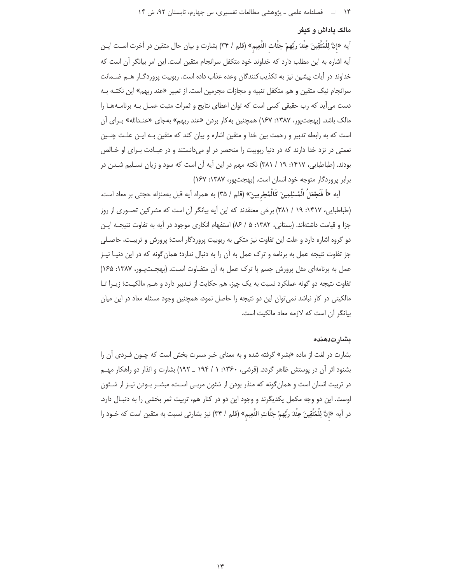#### مالک یاداش و کیفر

أيه «إنَّ لِلْمُتَّقِينَ عِنْدَ رَبِّهمْ جَنَّات النَّعِيم» (قلم / ٣۴) بشارت و بيان حال متقين در أخرت اسـت ايـن آيه اشاره به اين مطلب دارد كه خداوند خود متكفل سرانجام متقين است. اين امر بيانگر آن است كه خداوند در آيات پيشين نيز به تكذيب كنندگان وعده عذاب داده است. ربوبيت پروردگـار هـم ضـمانت سرانجام نیک متقین و هم متکفل تنبیه و مجازات مجرمین است. از تعبیر «عند ربهم» این نکتـه بـه دست می آید که رب حقیقی کسی است که توان اعطای نتایج و ثمرات مثبت عمـل بـه برنامـههـا را مالک باشد. (بهجتپور، ۱۳۸۷: ۱۶۷) همچنین به کار بردن «عند ربهم» بهجای «عنـدالله» بـرای آن است که به رابطه تدبیر و رحمت بین خدا و متقین اشاره و بیان کند که متقین بـه ایـن علـت چنـین نعمتی در نزد خدا دارند که در دنیا ربوبیت را منحصر در او میدانستند و در عبادت بـرای او خـالص بودند. (طباطبایی، ۱۴۱۷: ۱۹ / ۳۸۱) نکته مهم در این آیه آن است که سود و زبان تسـلیم شـدن در برابر پروردگار متوجه خود انسان است. (بهجت پور، ۱۳۸۷: ۱۶۷)

آيه «أَ فَنَجْعَلُ الْمُسْلِمِينَ كَالْمُجْرِمِينَ» (قلم / ٣۵) به همراه آيه قبل بهمنزله حجتى بر معاد است. (طباطبایی، ۱۴۱۷: ۱۹ / ۳۸۱) برخی معتقدند که این آیه بیانگر آن است که مشرکین تصوری از روز جزا و قيامت داشتهاند. (بستاني، ١٣٨٢: ۵/ ٨۶) استفهام انكاري موجود در آيه به تفاوت نتيجـه ايـن دو گروه اشاره دارد و علت این تفاوت نیز متکی به ربوبیت پروردگار است؛ پرورش و تربیـت، حاصـلی جز تفاوت نتیجه عمل به برنامه و ترک عمل به آن را به دنبال ندارد؛ همان گونه که در این دنیـا نیـز عمل به برنامهای مثل پرورش جسم با ترک عمل به آن متفـاوت اسـت. (بهجـتیـور، ۱۳۸۷: ۱۶۵) تفاوت نتیجه دو گونه عملکرد نسبت به یک چیز، هم حکایت از تـدبیر دارد و هـم مالکیـت؛ زیـرا تـا مالکیتی در کار نباشد نمی توان این دو نتیجه را حاصل نمود، همچنین وجود مسئله معاد در این میان بيانگر آن است كه لازمه معاد مالكيت است.

### ىشارت دھندە

بشارت در لغت از ماده «بشر» گرفته شده و به معنای خبر مسرت بخش است که چـون فـردی آن را بشنود اثر آن در پوستش ظاهر گردد. (قرشی، ۱۳۶۰: ۱ / ۱۹۴ \_ ۱۹۲) بشارت و انذار دو راهکار مهـم در تربیت انسان است و همان گونه که منذر بودن از شئون مربـی اسـت، مبشـر بـودن نیـز از شـئون اوست. این دو وجه مکمل یکدیگرند و وجود این دو در کنار هم، تربیت ثمر بخشی را به دنبـال دارد. در آيه «إنَّ لِلْمُتَّقِينَ عِنْدَ رَبِّهمْ جَنَّاتِ النَّعِيمِ» (قلم / ٣۴) نيز بشارتي نسبت به متقين است كه خـود را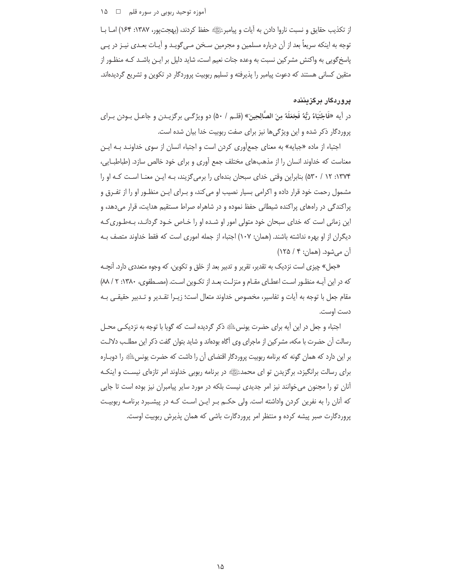آموزه توحید ربوبی در سوره قلم ⊥ ⊥ ۱۵

از تكذيب حقايق و نسبت ناروا دادن به أيات و پيامبرﷺ حفظ كردند، (بهجتپور، ١٣٨٧: ١۶۴) امـا بـا توجه به اینکه سریعاً بعد از آن درباره مسلمین و مجرمین سـخن مـی¢ویـد و آیـات بعـدی نیـز در پـی اسخگویی به واکنش مشرکین نسبت به وعده جنات نعیم است، شاید دلیل بر ایـن باشـد کـه منظـور از <u>ر</u> متقین کسانی هستند که دعوت پیامبر را پذیرفته و تسلیم ربوبیت پروردگار در تکوین و تشریع گردیدهاند.

## **پروردگار برگزیننده**

در أيه «فاجْتُبَاهُ رَبُّهُ فَجَعَلَهُ مِنَ الصَّالِحِينَ» (قلـم / ۵۰) دو ويژگــى برگزيــدن و جاعــل بــودن بــراى پروردگار ذکر شده و این ویژگیها نیز برای صفت ربوبیت خدا بیان شده است.

اجتباء از ماده «جبايه» به معناى جمعأورى كردن است و اجتباء انسان از سوى خداونـد بــه ايــن معناست که خداوند انسان را از مذهبهای مختلف جمع آوری و برای خود خالص سازد. (طباطبـایی، ۱۳۷۴: ۱۲ / ۵۳۰) بنابراین وقتی خدای سبحان بندهای را برمی5زیند، بـه ایـن معنـا اسـت کـه او را مشمول رحمت خود قرار داده و اکرامی بسیار نصیب او میکند، و بـرای ایـن منظـور او را از تفـرق و پراکندگی در راههای پراکنده شیطانی حفظ نموده و در شاهراه صراط مستقیم هدایت، قرار میدهد، و این زمانی است که خدای سبحان خود متولی امور او شـده او را خـاص خـود گردانـد، بـهطـوری *ک*ـه دیگران از او بهره نداشته باشند. (همان: ۱۰۷) اجتباء از جمله اموری است که فقط خداوند متصف بــه أن ميشود. (همان: ۴ / ۱۲۵)

«جعل» چیزی است نزدیک به تقدیر، تقریر و تدبیر بعد از خلق و تکوین، که وجوه متعددی دارد. آنچــه که در این آیـه منظـور اسـت اعطـای مقـام و منزلـت بعـد از تکـوین اسـت. (مصـطفوی، ۱۳۸۰: ۲ / M) مقام جعل با توجه به آيات و تفاسير، مخصوص خداوند متعال است؛ زيـرا تقـدير و تـدبير حقيقـي بـه دست اوست.

اجتباء و جعل در این آیه برای حضرت یونسﷺ ذکر گردیده است که گویا با توجه به نزدیکـی محــل رسالت أن حضرت با مكه، مشركين از ماجراى وى أگاه بودهاند و شايد بتوان گفت ذكر اين مطلب دلالـت بر این دارد که همان گونه که برنامه ربوبیت پروردگار اقتضای آن را داشت که حضرت یونسﷺ را دوبــاره برای رسالت برانگیزد، برگزیدن تو ای محمدﷺ در برنامه ربوبی خداوند امر تازهای نیسـت و اینکـه آنان تو را مجنون میخوانند نیز امر جدیدی نیست بلکه در مورد سایر پیامبران نیز بوده است تا جایی که أنان را به نفرین کردن واداشته است. ولی حکـم بـر ایـن اسـت کـه در پیشـبرد برنامــه ربوبیـت پروردگارت صبر پیشه کرده و منتظر امر پروردگارت باشی که همان پذیرش ربوبیت اوست.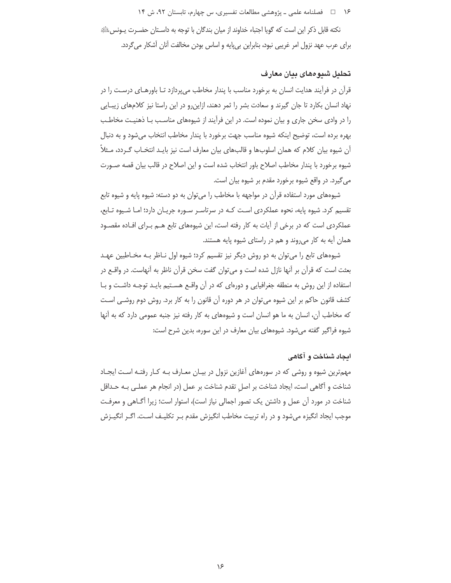۱۶  $\Box$  فصلنامه علمی ــ پژوهشی مطالعات تفسیری، س چهارم، تابستان ۹۲، ش ۱۴

نكته قابل ذكر اين است كه گويا اجتباء خداوند از ميان بندگان با توجه به داسـتان حضــرت يــونسﷺ برای عرب عهد نزول امر غریبی نبود، بنابراین بیپایه و اساس بودن مخالفت آنان آشکار میگردد.

## **تحليل شيوههای بيان معارف**

قرآن در فرآیند هدایت انسان به برخورد مناسب با پندار مخاطب میپردازد تـا باورهـای درسـت را در نهاد انسان بکارد تا جان گیرند و سعادت بشر را ثمر دهند، ازاینرو در این راستا نیز کلامهای زیبـایی را در وادی سخن جاری و بیان نموده است. در این فرآیند از شیوههای مناسـب بـا ذهنیـت مخاطـب بهره برده است، توضيح اينكه شيوه مناسب جهت برخورد با پندار مخاطب انتخاب مىشود و به دنبال آن شیوه بیان کلام که همان اسلوبها و قالبهای بیان معارف است نیز بایـد انتخـاب گـردد، مـثلاً شیوه برخورد با پندار مخاطب اصلاح باور انتخاب شده است و این اصلاح در قالب بیان قصه صــورت می گیرد. در واقع شیوه برخورد مقدم بر شیوه بیان است.

شیوههای مورد استفاده قرآن در مواجهه با مخاطب را میتوان به دو دسته: شیوه پایه و شیوه تابع تقسیم کرد. شیوه پایه، نحوه عملکردی است کـه در سرتاسـر سـوره جریـان دارد؛ امـا شـیوه تـابع، عملکردی است که در برخی از آیات به کار رفته است، این شیوههای تابع هـم بـرای افـاده مقصـود همان آیه به کار میروند و هم در راستای شیوه پایه هستند.

شیوههای تابع را میتوان به دو روش دیگر نیز تقسیم کرد؛ شیوه اول نـاظر بـه مخـاطبین عهـد بعثت است که قرآن بر أنها نازل شده است و میتوان گفت سخن قرآن ناظر به آنهاست. در واقــع در استفاده از این روش به منطقه جغرافیایی و دورهای که در آن واقـع هسـتیم بایـد توجـه داشـت و بـا کشف قانون حاکم بر این شیوه می¤وان در هر دوره آن قانون را به کار برد. روش دوم روشـی اسـت که مخاطب آن، انسان به ما هو انسان است و شیوههای به کار رفته نیز جنبه عمومی دارد که به آنها شیوه فراگیر گفته میشود. شیوههای بیان معارف در این سوره، بدین شرح است:

## ا**یجاد شناخت و اگاهی**

مهمترین شیوه و روشی که در سورههای آغازین نزول در بیـان معـارف بـه کـار رفتـه اسـت ایجـاد شناخت و أگاهى است، ايجاد شناخت بر اصلِ تقدم شناخت بر عمل (در انجام هر عملـى بـه حـداقل شناخت در مورد آن عمل و داشتن یک تصور اجمالی نیاز است)، استوار است؛ زیرا آگــاهی و معرفــت موجب ايجاد انگيزه ميشود و در راه تربيت مخاطب انگيزش مقدم بـر تكليـف اسـت. اگـر انگيـزش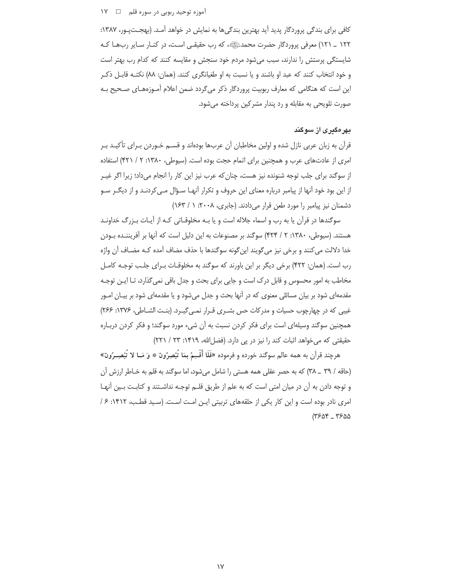### آموزه توحید ربوبی در سوره قلم ۔ 1∨ ۱۷

کافی برای بندگی پروردگار پدید آید بهترین بندگیها به نمایش در خواهد آمـد. (بهجــتپـور، ۱۳۸۷: ۱۲۲ \_ ۱۲۱) معرفي پروردگار حضرت محمدﷺ، كه رب حقيقـي اسـت، در كنـار سـاير ربـهـا كـه شایستگی پرستش را ندارند، سبب می شود مردم خود سنجش و مقایسه کنند که کدام رب بهتر است و خود انتخاب کنند که عبد او باشند و یا نسبت به او طغیانگری کنند. (همان: ۸۸) نکتـه قابـل ذکـر این است که هنگامی که معارف ربوبیت پروردگار ذکر می¢دد ضمن اعلام آمـوزههـای صـحیح بـه صورت تلویحی به مقابله و رد پندار مشرکین پرداخته می شود.

## بهرهگیری از سوگند

قرآن به زبان عربی نازل شده و اولین مخاطبان آن عربها بودهاند و قســم خـوردن بـرای تأکیـد بـر امری از عادتهای عرب و همچنین برای اتمام حجت بوده است. (سپوطی، ۱۳۸۰: ۲ / ۴۲۱) استفاده از سوگند برای جلب توجه شنونده نیز هست، چنان که عرب نیز این کار را انجام می داد؛ زیرا اگر غیـر از این بود خود آنها از پیامبر درباره معنای این حروف و تکرار آنهـا سـؤال مـی کردنـد و از دیگـر سـو دشمنان نیز پیامبر را مورد طعن قرار میدادند. (جابری، ۲۰۰۸: ۱/ ۱۶۳)

سوگندها در قرآن یا به رب و اسماء جلاله است و یا بـه مخلوقـاتی کـه از آیـات بـزرگ خداونـد هستند. (سیوطی، ۱۳۸۰: ۲ / ۴۲۴) سوگند بر مصنوعات به این دلیل است که آنها بر آفریننـده بـودن خدا دلالت می کنند و برخی نیز می گویند این گونه سوگندها با حذف مضاف آمده کـه مضـاف آن واژه رب است. (همان: ۴۲۲) برخی دیگر بر این باورند که سوگند به مخلوقـات بـرای جلـب توجـه کامـل مخاطب به امور محسوس و قابل درک است و جایی برای بحث و جدل باقی نمی گذارد، تـا ایـن توجـه مقدمهای شود بر بیان مسائلی معنوی که در آنها بحث و جدل میشود و یا مقدمهای شود بر بیـان امـور غیبی که در چهارچوب حسیات و مدرکات حس بشـری قـرار نمـی گیـرد. (بنـت الشـاطی، ۱۳۷۶: ۲۶۶) همچنین سوگند وسیلهای است برای فکر کردن نسبت به آن شیء مورد سوگند؛ و فکر کردن دربـاره حقیقتی که می خواهد اثبات کند را نیز در یی دارد. (فضل الله، ۱۴۱۹: ۲۳ / ۲۲۱)

هرچند قرآن به همه عالم سوگند خورده و فرموده «فَلَا أُقْسِمُ بِمَا تُبْصِرُونَ ۞ وَ مَـا لا تُبْصِـرُونَ» (حاقه / ٣٩ \_ ٣٨) كه به حصر عقلي همه هستي را شامل مي شود، اما سوكند به قلم به خـاطر ارزش آن و توجه دادن به آن در میان امتی است که به علم از طریق قلــم توجــه نداشــتند و کتابـت بــین آنهـا امري نادر بوده است و اين كار يكي از حلقههاي تربيتي اين امت است. (سيد قطب، ١۴١٢: ۶/  $(7509 - 7500)$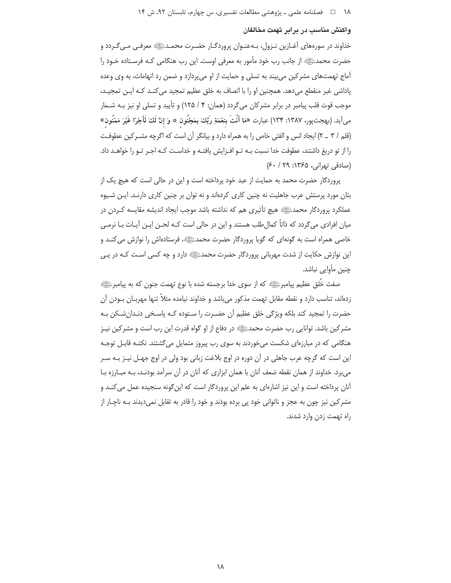### واکنش مناسب در برابر تهمت مخالفان

خداوند در سورههای آغــازین نــزول، بــهعنــوان پروردگــار حضــرت محمــدﷺ معرفــی مــیگــردد و حضرت محمدﷺ از جانب رب خود مأمور به معرفی اوست. این رب هنگامی کـه فرسـتاده خـود را آماج تهمتهای مشرکین میبیند به تسلی و حمایت از او میپردازد و ضمن رد اتهامات، به وی وعده یاداشی غیر منقطع می دهد. همچنین او را با اتصاف به خلق عظیم تمحید می کنـد کـه ایـن تمجیـد، موجب قوت قلب پیامبر در برابر مشركان میگردد (همان: ۴ / ۱۲۵) و تأیید و تسلی او نیز بـه شـمار مِي أيد. (بهجت پور، ١٣٨٧: ١٣۴) عبارت «مَا أَنْتَ بِنعْمَةِ رَبِّكَ بِمَجْنُون ۞ وَ إنَّ لَكَ لَأَجْرًا غَيْرَ مَمْنُون» (قلم / ٣ \_ ٢) ايجاد انس و الفتى خاص را به همراه دارد و بيانگر آن است كه اگرچه مشـركين عطوفـت را از تو دریغ داشتند، عطوفت خدا نسبت بـه تـو افـزایش یافتـه و خداسـت کـه اجـر تـو را خواهــد داد. (صادقی تهرانی، ۱۳۶۵: ۶۰/ ۶۰)

یروردگار حضرت محمد به حمایت از عبد خود پرداخته است و این در حالی است که هیچ یک از بتان مورد پرستش عرب جاهلیت نه چنین کاری کردهاند و نه توان بر چنین کاری دارنـد. ایـن شـیوه عملکرد پروردگار محمدﷺ هیچ تأثیری هم که نداشته باشد موجب ایجاد اندیشه مقایسه کـردن در میان افرادی می گردد که ذاتاً کمال طلب هستند و این در حالی است کـه لحـن ایـن آیـات بـا نرمـی خاصی همراه است به گونهای که گویا پروردگار حضرت محمدﷺ، فرستادهاش را نوازش می کنـد و این نوازش حکایت از شدت مهربانی پروردگار حضرت محمدﷺ دارد و چه کسی است کـه در پـی چنین مأوایی نباشد.

صفت خُلق عظیم پیامبرﷺ که از سوی خدا برجسته شده با نوع تهمت جنون که به پیامبرﷺ زدهاند، تناسب دارد و نقطه مقابل تهمت مذکور میباشد و خداوند نیامده مثلاً تنها مهربـان بــودن آن حضرت را تمجید کند بلکه ویژگی خلق عظیم آن حضـرت را سـتوده کـه پاسـخی دنـدان٬شـکن بـه مشرکین باشد. توانایی رب حضرت محمدﷺ در دفاع از او گواه قدرت این رب است و مشرکین نیـز هنگامی که در مبارزهای شکست میخوردند به سوی رب پیروز متمایل میگشتند. نکتـه قابـل توجـه این است که گرچه عرب جاهلی در آن دوره در اوج بلاغت زبانی بود ولی در اوج جهـل نیـز بـه سـر می برد. خداوند از همان نقطه ضعف آنان با همان ابزاری که آنان در آن سرآمد بودنـد، بـه مبـارزه بـا آنان پرداخته است و این نیز اشارهای به علم این پروردگار است که این گونه سنجیده عمل می کنـد و مشرکین نیز چون به عجز و ناتوانی خود پی برده بودند و خود را قادر به تقابل نمیدیدند بـه ناچـار از راه تهمت زدن وارد شدند.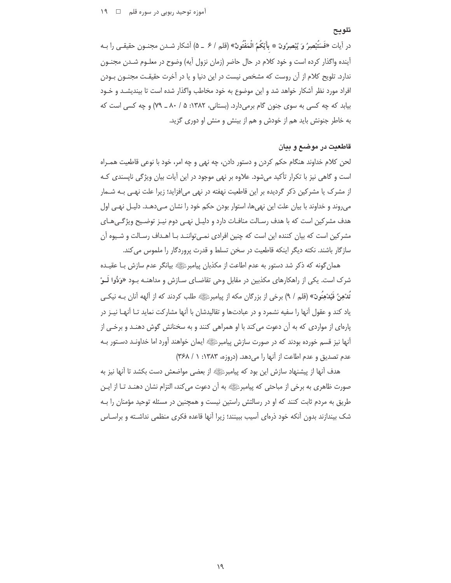### تلويح

در آيات «فَسَتَبْصِرُ وَ يُبْصِرُونَ \* بِأَيِّكُمُ الْمَفْتُونُ» (قلم / ۶ \_ ۵) آشكار شـدن مجنـون حقيقـي را بـه آینده واگذار کرده است و خود کلام در حال حاضر (زمان نزول آیه) وضوح در معلـوم شـدن مجنـون ندارد. تلویح کلام از آن روست که مشخص نیست در این دنیا و یا در آخرت حقیقـت مجنــون بــودن افراد مورد نظر آشکار خواهد شد و این موضوع به خود مخاطب واگذار شده است تا بیندیشــد و خـود بیابد که چه کسی به سوی جنون گام برمی دارد. (بستانی، ۱۳۸۲: ۵/ ۸۰ ـ ۷۹) و چه کسی است که به خاطر جنونش باید هم از خودش و هم از بینش و منش او دوری گزید.

## قاطعیت در موضـع و بیان

لحن كلام خداوند هنگام حكم كردن و دستور دادن، چه نهى و چه امر، خود با نوعى قاطعيت همـراه است و گاهی نیز با تکرار تأکید میشود. علاوه بر نهی موجود در این آیات بیان ویژگی ناپسندی کـه از مشرک یا مشرکین ذکر گردیده بر این قاطعیت نهفته در نهی می|فزاید؛ زیرا علت نهـی بـه شــمار میروند و خداوند با بیان علت این نهیها، استوار بودن حکم خود را نشان مـی‹هـد. دلیـل نهـی اول هدف مشرکین است که با هدف رسـالت منافـات دارد و دلیـل نهـی دوم نیـز توضـیح ویژگـیِهـای مشرکین است که بیان کننده این است که چنین افرادی نمـی تواننـد بـا اهـداف رسـالت و شـیوه آن سازگار باشند. نکته دیگر اینکه قاطعیت در سخن تسلط و قدرت پروردگار را ملموس می کند.

همان گونه که ذکر شد دستور به عدم اطاعت از مکذبان پیامبرﷺ بیانگر عدم سازش بـا عقیـده شرک است. یکی از راهکارهای مکذبین در مقابل وحی تقاضـای سـازش و مداهنــه بــود «وَدُّوا لَــوْ تَدْهِنُ فَيُدْهِنُونَ» (قلم / ٩) برخي از بزرگان مكه از پيامبرﷺ طلب كردند كه از آلهه آنان بــه نيكــي ياد كند و عقول آنها را سفيه نشمرد و در عبادتها و تقاليدشان با آنها مشاركت نمايد تـا آنهـا نيـز در پارهای از مواردی که به آن دعوت می کند با او همراهی کنند و به سخنانش گوش دهنـد و برخـی از آنها نیز قسم خورده بودند که در صورت سازش پیامبرﷺ ایمان خواهند آورد اما خداونـد دسـتور بـه عدم تصديق و عدم اطاعت از آنها را مي دهد. (دروزه، ۱۳۸۳: ۱ / ۳۶۸)

هدف آنها از پیشنهاد سازش این بود که پیامبرﷺ از بعضی مواضعش دست بکشد تا آنها نیز به صورت ظاهري به برخي از مباحثي كه پيامبرﷺ به أن دعوت مي كند، التزام نشان دهنـد تـا از ايـن طریق به مردم ثابت کنند که او در رسالتش راستین نیست و همچنین در مسئله توحید مؤمنان را بـه شک بیندازند بدون آنکه خود ذرمای آسیب ببینند؛ زیرا آنها قاعده فکری منظمی نداشته و براسـاس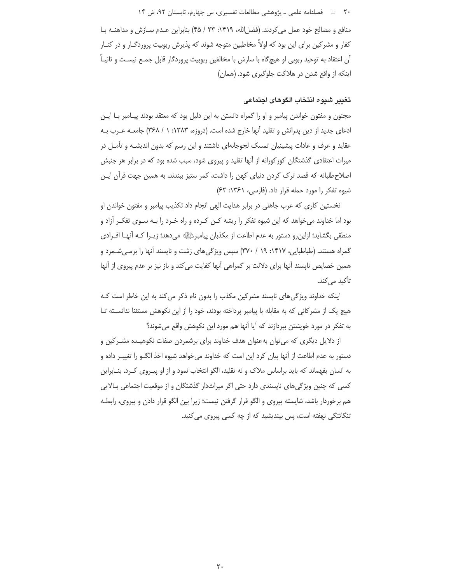### ۲۰ D فصلنامه علمی ـ پژوهشی مطالعات تفسیری، س چهارم، تابستان ۹۲، ش ۱۴

منافع و مصالح خود عمل می کردند. (فضل الله، ١۴١٩: ٢٣ / ۴۵) بنابراین عدم سازش و مداهنـه با کفار و مشرکین برای این بود که اولاً مخاطبین متوجه شوند که پذیرش ربوبیت پروردگـار و در کنـار آن اعتقاد به توحید ربوبی او هیچگاه با سازش با مخالفین ربوبیت پروردگار قابل جمـع نیسـت و ثانیـاً ۖ اینکه از واقع شدن در هلاکت جلوگیری شود. (همان)

## تغيير شبوه انتخاب الكوهاى اجتماعي

مجنون و مفتون خواندن پیامبر و او را گمراه دانستن به این دلیل بود که معتقد بودند پیـامبر بـا ایـن ادعای جدید از دین پدرانش و تقلید آنها خارج شده است. (دروزه، ۱۳۸۳: ۱ / ۳۶۸) جامعـه عــرب بــه عقاید و عرف و عادات پیشینیان تمسک لجوجانهای داشتند و این رسم که بدون اندیشـه و تأمـل در میراث اعتقادی گذشتگان کورکورانه از آنها تقلید و پیروی شود، سبب شده بود که در برابر هر جنبش اصلاح طلبانه که قصد ترک کردن دنیای کهن را داشت، کمر ستیز ببندند. به همین جهت قرآن ایـن شیوه تفکر را مورد حمله قرار داد. (فارسی، ۱۳۶۱: ۶۲)

نخستین کاری که عرب جاهلی در برابر هدایت الهی انجام داد تکذیب پیامبر و مفتون خواندن او بود اما خداوند میخواهد که این شیوه تفکر را ریشه کـن کـرده و راه خـرد را بـه سـوی تفکـر آزاد و منطقي بگشايد؛ ازاينررو دستور به عدم اطاعت از مكذبان پيامبرﷺ ميدهد؛ زيــرا كــه أنهــا افــرادي گمراه هستند. (طباطبایی، ۱۴۱۷: ۱۹ / ۳۷۰) سپس ویژگیهای زشت و ناپسند آنها را برمهیشـمرد و همین خصایص ناپسند آنها برای دلالت بر گمراهی آنها کفایت می کند و باز نیز بر عدم پیروی از آنها تأکید مے کند.

اینکه خداوند ویژگی های ناپسند مشرکین مکذب را بدون نام ذکر می کند به این خاطر است کـه هیچ یک از مشرکانی که به مقابله با پیامبر پرداخته بودند، خود را از این نکوهش مستثنا ندانســته تــا به تفکر در مورد خویشتن بیردازند که آیا آنها هم مورد این نکوهش واقع میشوند؟

از دلایل دیگری که می توان بهعنوان هدف خداوند برای برشمردن صفات نکوهیـده مشـرکین و دستور به عدم اطاعت از اًنها بیان کرد این است که خداوند میخواهد شیوه اخذ الگــو را تغییـر داده و به انسان بفهماند که باید براساس ملاک و نه تقلید، الگو انتخاب نمود و از او پیـروی کـرد. بنــابراین کسی که چنین ویژگی های ناپسندی دارد حتی اگر میراثدار گذشتگان و از موقعیت اجتماعی بـالایی هم برخوردار باشد، شایسته پیروی و الگو قرار گرفتن نیست؛ زیرا بین الگو قرار دادن و پیروی، رابطـه تنگاتنگی نهفته است، پس بیندیشید که از چه کسی پیروی می کنید.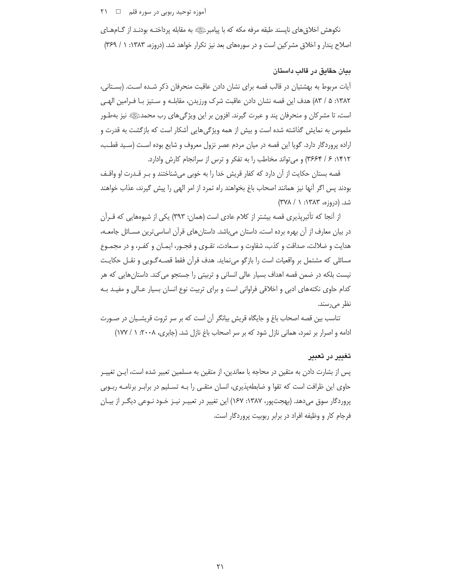### آموزه توحید ربوبی در سوره قلم □ ٢١

نکوهش اخلاق های ناپسند طبقه مرفه مکه که با پیامبرﷺ به مقابله پرداختـه بودنـد از گــامهــای اصلاح پندار و اخلاق مشرکین است و در سورههای بعد نیز تکرار خواهد شد. (دروزه، ۱۳۸۳: ۱ / ۳۶۹)

## بيان حقايق در قالب داستان

ایات مربوط به بهشتیان در قالب قصه برای نشان دادن عاقبت منحرفان ذکر شده است. (بستانی، ١٣٨٢: ۵ / ٨٣) هدف اين قصه نشان دادن عاقبت شرك ورزيدن، مقابلـه و سـتيز بـا فـرامين الهـي است، تا مشرکان و منحرفان پند و عبرت گیرند. افزون بر این ویژگیهای رب محمدﷺ نیز بهطـور ملموس به نمایش گذاشته شده است و بیش از همه ویژگیهایی آشکار است که بازگشت به قدرت و اراده پروردگار دارد. گویا این قصه در میان مردم عصر نزول معروف و شایع بوده است (سـید قطـب، ١۴١٢: ۶ / ٣۶۶۴) و مي تواند مخاطب را به تفكر و ترس از سرانجام كارش وادارد.

قصه بستان حکایت از آن دارد که کفار قریش خدا را به خوبی میشناختند و بـر قـدرت او واقـف بودند پس اگر آنها نیز همانند اصحاب باغ بخواهند راه تمرد از امر الهی را پیش گیرند، عذاب خواهند شد. (دروزه، ۱۳۸۳: ۱ / ۳۷۸)

از آنجا که تأثیرپذیری قصه بیشتر از کلام عادی است (همان: ۳۹۳) یکی از شیوههایی که قــرآن در بیان معارف از آن بهره برده است، داستان میباشد. داستانهای قرآن اساسیترین مسـائل جامعــه، هدایت و ضلالت، صداقت و کذب، شقاوت و سـعادت، تقـوی و فجـور، ایمـان و کفـر، و در مجمـوع مسائلی که مشتمل بر واقعیات است را بازگو می نماید. هدف قرآن فقط قصـهگـویی و نقـل حکایـت نیست بلکه در ضمن قصه اهداف بسیار عالی انسانی و تربیتی را جستجو می کند. داستان هایی که هر کدام حاوی نکتههای ادبی و اخلاقی فراوانی است و برای تربیت نوع انسان بسیار عـالی و مفیـد بـه نظر می<sub>ر</sub>سند.

تناسب بین قصه اصحاب باغ و جایگاه قریش بیانگر آن است که بر سر ثروت قریشـیان در صـورت ادامه و اصرار بر تمرد، همانی نازل شود که بر سر اصحاب باغ نازل شد. (جابری، ۲۰۰۸: ۱ / ۱۷۷)

#### تغيير در تعبير

پس از بشارت دادن به متقین در محاجه با معاندین، از متقین به مسلمین تعبیر شده است، ایــن تغییــر حاوی این ظرافت است که تقوا و ضابطهپذیری، انسان متقـی را بـه تسـلیم در برابـر برنامـه ربـوبی یروردگار سوق می دهد. (بهجت ور، ۱۳۸۷: ۱۶۷) این تغییر در تعبیـر نیـز خـود نـوعی دیگـر از بیـان فرجام کار و وظیفه افراد در برابر ربوبیت پروردگار است.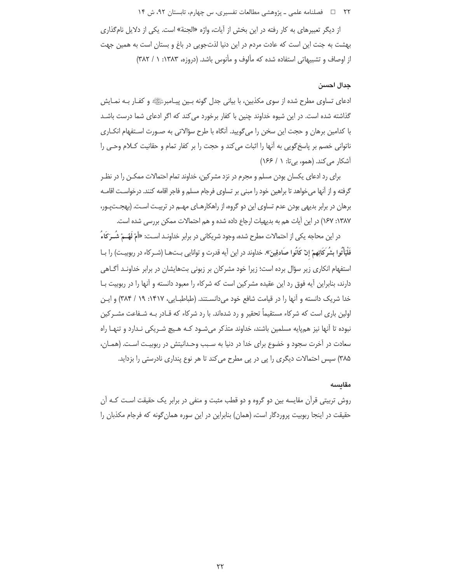### ۲۲ □ فصلنامه علمی ـ یژوهشی مطالعات تفسیری، س چهارم، تابستان ۹۲، ش ۱۴

از دیگر تعبیرهای به کار رفته در این بخش از آیات، واژه «الجنة» است. یکی از دلایل نامگذاری بهشت به جنت این است که عادت مردم در این دنیا لذتجویی در باغ و بستان است به همین جهت از اوصاف و تشبیهاتی استفاده شده که مألوف و مأنوس باشد. (دروزه، ۱۳۸۳: ۱/ ۳۸۲)

### جدال احسن

ادعای تساوی مطرح شده از سوی مکذبین، با بیانی جدل گونه بـین پیـامبرﷺ و کفـار بـه نمـایش گذاشته شده است. در این شیوه خداوند چنین با کفار برخورد می کند که اگر ادعای شما درست باشـد با کدامین برهان و حجت این سخن را می گویید. آنگاه با طرح سؤالاتی به صـورت اسـتفهام انکــاری ناتوانی خصم بر پاسخ گویی به آنها را اثبات می کند و حجت را بر کفار تمام و حقانیت کـلام وحـی را آشکار می کند. (همو، بی تا: ۱ / ۱۶۶)

برای رد ادعای پکسان بودن مسلم و مجرم در نزد مشرکین، خداوند تمام احتمالات ممکـن را در نظـر گرفته و از آنها می خواهد تا براهین خود را مبنی بر تساوی فرجام مسلم و فاجر اقامه کنند. درخواسـت اقامـه برهان در برابر بدیهی بودن عدم تساوی این دو گروه، از راهکارهـای مهـم در تربیـت اسـت. (بهجـتپـور، ١٣٨٧: ١۶٧) در اين أيات هم به بديهيات ارجاع داده شده و هم احتمالات ممكن بررسي شده است.

در این محاجه یکی از احتمالات مطرح شده، وجود شریکانی در برابر خداونـد اسـت: «أَمْ لَهُــمْ شُــرَكَاءُ فَلْيَأْتُوا بِشُرِ كَائِهِمْ إِنْ كَانُوا صَادِقِينَ». خداوند در اين آيه قدرت و توانايي بـتهـا (شـر كاء در ربوبيـت) را بـا استفهام انکاری زیر سؤال برده است؛ زیرا خود مشرکان بر زبونی بتهایشان در برابر خداونـد آگـاهی دارند، بنابراین آیه فوق رد این عقیده مشرکین است که شرکاء را معبود دانسته و آنها را در ربوبیت بـا خدا شریک دانسته و آنها را در قیامت شافع خود میدانسـتند. (طباطبـایی، ۱۴۱۷: ۱۹ / ۳۸۴) و ایـن اولین باری است که شرکاء مستقیماً تحقیر و رد شدهاند. با رد شرکاء که قـادر بـه شـفاعت مشـرکین نبوده تا آنها نیز همپایه مسلمین باشند، خداوند متذکر میشود کـه هـیچ شـریکی نـدارد و تنهـا راه سعادت در آخرت سجود و خضوع برای خدا در دنیا به سـبب وحـدانیتش در ربوبیـت اسـت. (همـان، ۳۸۵) سپس احتمالات دیگری را پی در پی مطرح می کند تا هر نوع پنداری نادرستی را بزداید.

#### مقايسه

روش تربیتی قرآن مقایسه بین دو گروه و دو قطب مثبت و منفی در برابر یک حقیقت اسـت کـه آن حقیقت در اینجا ربوبیت پروردگار است، (همان) بنابراین در این سوره همان گونه که فرجام مکذبان را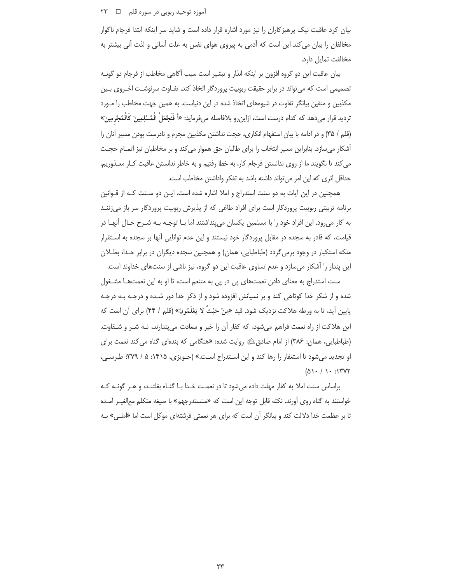### آموزه توحید ربوبی در سوره قلم □ ∏ ۲۳

بیان کرد عاقبت نیک پرهیزکاران را نیز مورد اشاره قرار داده است و شاید سر اینکه ابتدا فرجام ناگوار مخالفان را بیان می کند این است که آدمی به پیروی هوای نفس به علت آسانی و لذت آنی بیشتر به مخالفت تمايل دارد.

بیان عاقبت این دو گروه افزون بر اینکه انذار و تبشیر است سبب آگاهی مخاطب از فرجام دو گونــه تصمیمی است که میتواند در برابر حقیقت ربوبیت پروردگار اتخاذ کند. تفـاوت سرنوشـت اخـروی بـین مکذبین و متقین بیانگر تفاوت در شیوههای اتخاذ شده در این دنیاست. به همین جهت مخاطب را مـورد ترديد قرار مىدهد كه كدام درست است، ازاين,و بلافاصله مىفرمايد: «أَ فَنَجْعَلُ الْمُسْلِمِينَ كَالْمُجْرمِينَ» (قلم / ٣۵) و در ادامه با بیان استفهام انکاری، حجت نداشتن مکذبین مجرم و نادرست بودن مسیر آنان را آشکار میسازد. بنابراین مسیر انتخاب را برای طالبان حق هموار میکند و بر مخاطبان نیز اتمـام حجــت میکند تا نگویند ما از روی ندانستن فرجام کار، به خطا رفتیم و به خاطر ندانستن عاقبت کـار معـذوریم. حداقل اثرى كه اين امر مىتواند داشته باشد به تفكر واداشتن مخاطب است.

همچنین در این آیات به دو سنت استدراج و املا اشاره شده است. ایـن دو سـنت کـه از قـوانین برنامه تربیتی ربوبیت پروردگار است برای افراد طاغی که از پذیرش ربوبیت پروردگار سر باز میزننـد به کار میرود. این افراد خود را با مسلمین یکسان میپنداشتند اما بــا توجــه بــه شــرح حــال أنهــا در قیامت، که قادر به سجده در مقابل پروردگار خود نیستند و این عدم توانایی أنها بر سجده به اسـتقرار ملکه استکبار در وجود برمیگردد (طباطبایی، همان) و همچنین سجده دیگران در برابر خـدا، بطــلان این پندار را آشکار میسازد و عدم تساوی عاقبت این دو گروه، نیز ناشی از سنتهای خداوند است.

سنت استدراج به معنای دادن نعمتهای پی در پی به متنعم است، تا او به این نعمتهـا مشــغول شده و از شکر خدا کوتاهی کند و بر نسیانش افزوده شود و از ذکر خدا دور شـده و درجـه بـه درجـه ایین آید، تا به ورطه هلاکت نزدیک شود. قید «مِنْ حَیْثُ لا یَعْلَمُونَ» (قلم / ۴۴) برای آن است که <u>ب</u> این هلاکت از راه نعمت فراهم میشود، که کفار آن را خیر و سعادت میپندارند، نــه شــر و شــقاوت. (طباطبایی، همان: ۳۸۶) از امام صادقﷺ روایت شده: «هنگامی که بندهای گناه می کند نعمت برای او تجدید میشود تا استغفار را رها کند و این اسـتدراج اسـت.» (حـویزی، ۱۴۱۵: ۵ / ۳۷۹؛ طبرسـی،  $(\Delta \setminus$  /  $\setminus$  :  $\setminus$  TVT

براساس سنت املا به کفار مهلت داده میشود تا در نعمت خـدا بـا گنـاه بغلتنـد، و هـر گونــه کــه خواستند به گناه روی أورند. نكته قابل توجه اين است كه «سنستدرجهم» با صيغه متكلم معالغيـر أمـده ا بر عظمت خدا دلالت كند و بيانگر أن است كه براى هر نعمتى فرشتهاى موكل است اما «املـى» بــه .<br>ت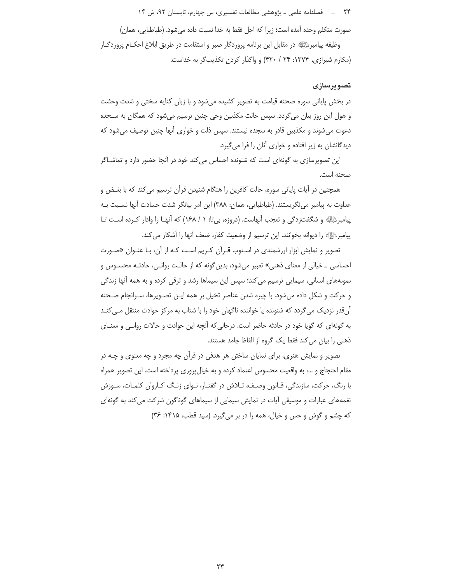۲۴ □ فصلنامه علمی ـ یژوهشی مطالعات تفسیری، س چهارم، تابستان ۹۲، ش ۱۴

صورت متكلم وحده آمده است؛ زيرا كه اجل فقط به خدا نسبت داده مي شود. (طباطبايي، همان) وظيفه پيامبرﷺ در مقابل اين برنامه پروردگار صبر و استقامت در طريق ابلاغ احكــام پروردگــار (مکارم شیرازی، ۱۳۷۴: ۲۴ / ۴۲۰) و واگذار کردن تکذیب گر به خداست.

## تصويرسازى

در بخش پایانی سوره صحنه قیامت به تصویر کشیده می شود و با زبان کنایه سختی و شدت وحشت و هول این روز بیان می گردد. سپس حالت مکذبین وحی چنین ترسیم می شود که همگان به سـجده دعوت میشوند و مکذبین قادر به سجده نیستند. سپس ذلت و خواری أنها چنین توصیف میشود که دیدگانشان به زیر افتاده و خواری آنان را فرا می گیرد.

این تصویرسازی به گونهای است که شنونده احساس می کند خود در آنجا حضور دارد و تماشـاگر صحنه است.

همچنین در آیات پایانی سوره، حالت کافرین را هنگام شنیدن قرآن ترسیم می کند که با بغـض و عداوت به پیامبر مینگریستند. (طباطبایی، همان: ٣٨٨) این امر بیانگر شدت حسادت آنها نسبت بـه پیامبرﷺ و شگفت;دگی و تعجب آنهاست. (دروزه، بیiا: ۱ / ۱۶۸) که آنهـا را وادار کـرده اسـت تـا پیامبرﷺ را دیوانه بخوانند. این ترسیم از وضعیت کفار، ضعف آنها را آشکار می کند.

تصویر و نمایش ابزار ارزشمندی در اسـلوب قـرأن کـریم اسـت کـه از آن، بـا عنـوان «صـورت احساسی \_ خیالی از معنای ذهنی» تعبیر میشود، بدین گونه که از حالت روانبی، حادثـه محسـوس و نمونههای انسانی، سیمایی ترسیم می کند؛ سپس این سیماها رشد و ترقی کرده و به همه آنها زندگی و حرکت و شکل داده میشود. با چیره شدن عناصر تخیل بر همه ایـن تصـویرها، سـرانجام صـحنه آنقدر نزدیک می گردد که شنونده یا خواننده ناگهان خود را با شتاب به مرکز حوادث منتقل مـی کنـد به گونهای که گویا خود در حادثه حاضر است. درحالی که آنچه این حوادث و حالات روانبی و معنـای ذهنی را بیان می کند فقط یک گروه از الفاظ جامد هستند.

تصویر و نمایش هنری، برای نمایان ساختن هر هدفی در قرآن چه مجرد و چه معنوی و چـه در مقام احتجاج و …، به واقعیت محسوس اعتماد کرده و به خیال پروری پرداخته است. این تصویر همراه با رنگ، حرکت، سازندگی، قـانون وصـف، تـلاش در گفتـار، نـوای زنـگ کـاروان کلمـات، سـوزش نغمههای عبارات و موسیقی آیات در نمایش سیمایی از سیماهای گوناگون شرکت می کند به گونهای که چشم و گوش و حس و خیال، همه را در بر می گیرد. (سید قطب، ۱۴۱۵: ۳۶)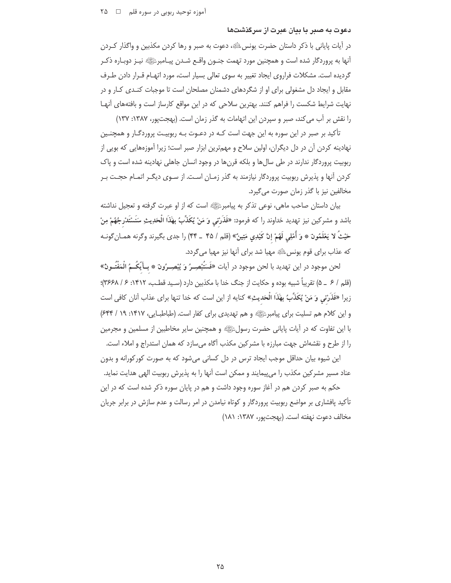## دعوت به صبر با بیان عبرت از سرگذشتها

در آیات پایانی با ذکر داستان حضرت یونس ﷺ، دعوت به صبر و رها کردن مکذبین و واگذار کـردن آنها به پروردگار شده است و همچنین مورد تهمت جنـون واقـع شـدن پیـامبرﷺ نیـز دوبـاره ذکـر گردیده است. مشکلات فراروی ایجاد تغییر به سوی تعالی بسیار است، مورد اتهیام قبرار دادن طرف مقابل و ایجاد دل مشغولی برای او از شگردهای دشمنان مصلحان است تا موجبات کنـدی کـار و در نهایت شرایط شکست را فراهم کنند. بهترین سلاحی که در این مواقع کارساز است و بافتههای آنهـا را نقش بر آب می کند، صبر و سپردن این اتهامات به گذر زمان است. (بهجتپور، ۱۳۸۷: ۱۳۷)

تأکید بر صبر در این سوره به این جهت است کـه در دعـوت بـه ربوبیـت پروردگـار و همچنـین نهادینه کردن آن در دل دیگران، اولین سلاح و مهمترین ابزار صبر است؛ زیرا آموزههایی که بویی از ربوبیت پروردگار ندارند در طی سال ها و بلکه قرن ها در وجود انسان جاهلی نهادینه شده است و پاک کردن آنها و پذیرش ربوبیت پروردگار نیازمند به گذر زمـان اسـت. از سـوی دیگـر اتمـام حجـت بـر مخالفین نیز با گذر زمان صورت می گیرد.

بيان داستان صاحب ماهي، نوعي تذكر به پيامبرﷺ است كه از او عبرت گرفته و تعجيل نداشته باشد و مشركين نيز تهديد خداوند را كه فرمود: «فَذَرْني وَ مَنْ يُكَذِّبُ بهَٰذَا الْحَدِيثِ سَنَسْتَدْرجُهُمْ مِنْ حَيْثُ لا يَعْلَمُونَ ۞ وَ أُمْلِي لَهُمْ إنَّ كَيْدِي مَتِينٌ» (قلم / ۴۵ \_ ۴۴) را جدى بگيرند وگرنه همـان گونـه که عذاب برای قوم یونس<sup> اِلتَّا</sup>َهِ مهیا شد برای آنها نیز مهیا م*ی گ*ردد.

لحن موجود در اين تهديد با لحن موجود در آيات «فَسَتُبْصِـرُ وَ يُبْصِـرُونَ ۞ بِـأَيْكُـمُ الْمَفْتَــونُ» (قلم / ۶ \_ ۵) تقريباً شبيه بوده و حكايت از جنگ خدا با مكذبين دارد (سـيد قطـب، ١۴١٢: ۶/ ٣۶۶٨)؛ زیرا «فَذَرْنی وَ مَنْ يُكَذِّبُ بِهَٰذَا الْحَديثِ» كنايه از اين است كه خدا تنها برای عذاب آنان كافی است و این کلام هم تسلیت برای پیامبرﷺ و هم تهدیدی برای کفار است. (طباطبـایی، ۱۴۱۷: ۱۹ / ۶۴۴) با این تفاوت که در آیات پایانی حضرت رسولﷺ و همچنین سایر مخاطبین از مسلمین و مجرمین را از طرح و نقشهاش جهت مبارزه با مشركين مكذب آگاه می سازد كه همان استدراج و املاء است.

این شیوه بیان حداقل موجب ایجاد ترس در دل کسانی میشود که به صورت کورکورانه و بدون عناد مسیر مشرکین مکذب را می پیمایند و ممکن است آنها را به پذیرش ربوبیت الهی هدایت نماید.

حکم به صبر کردن هم در آغاز سوره وجود داشت و هم در پایان سوره ذکر شده است که در این تأکید یافشاری بر مواضع ربوبیت پروردگار و کوتاه نیامدن در امر رسالت و عدم سازش در برابر جریان مخالف دعوت نهفته است. (بهجت یور، ۱۳۸۷: ۱۸۱)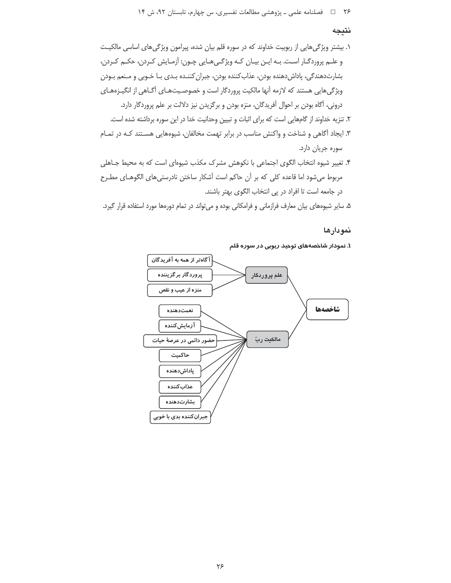## نتيجه

- ١. بیشتر ویژگیهایی از ربوبیت خداوند که در سوره قلم بیان شده، پیرامون ویژگیهای اساسی مالکیت و علـم پروردگـار اسـت. بـه ايـن بيـان كـه ويژگـي هـايي چـون: آزمـايش كـردن، حكـم كـردن، بشارتدهندگی، پاداشدهنده بودن، عذابکننده بودن، جبران کننـده بـدی بـا خـوبی و مـنعم بـودن ویژگیهایی هستند که لازمه آنها مالکیت پروردگار است و خصوصیتهـای آگـاهی از انگیـزههـای درونی، آگاه بودن بر احوال آفریدگان، منزه بودن و برگزیدن نیز دلالت بر علم پروردگار دارد. ٢. تنزيه خداوند از گامهايي است كه براي اثبات و تبيين وحدانيت خدا در اين سوره برداشته شده است.
- ۳. ایجاد آگاهی و شناخت و واکنش مناسب در برابر تهمت مخالفان، شیوههایی هسـتند کـه در تمـام سوره جريان دارد.
- ۴. تغییر شیوه انتخاب الگوی اجتماعی با نکوهش مشرک مکذب شیوهای است که به محیط جـاهلی مربوط میشود اما قاعده کلی که بر آن حاکم است آشکار ساختن نادرستیهای الگوهـای مطـرح در جامعه است تا افراد در یی انتخاب الگوی بهتر باشند.

۵. سایر شیوههای بیان معارف فرازمانی و فرامکانی بوده و میتواند در تمام دورهها مورد استفاده قرار گیرد.

## نمودارها

۱. نمودار شاخصههای توحید ربوبی در سوره قلم

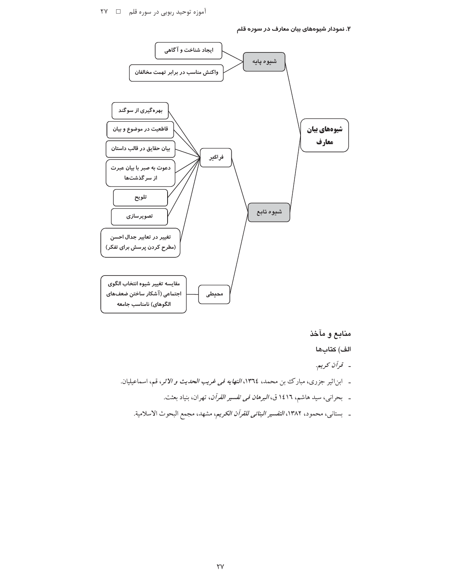۲. نمودار شیوههای بیان معارف در سوره قلم



منابع و مآخذ

الف) كتابها

- قرآن كريم.
- ـ ابن|ثیر جزری، مبارک بن محمد، ١٣٦٤، *النهایه فی غریب الحدیث و الاثر*، قم، اسماعیلیان.
	- بحراني، سيد هاشم، ١٤١٦ ق، *البرهان في تفسير القرآن*، تهران، بنياد بعثت.
	- ـ بستاني، محمود، ١٣٨٢، *التفسير البنائي للقرآن الكريم*، مشهد، مجمع البحوث الاسلامية.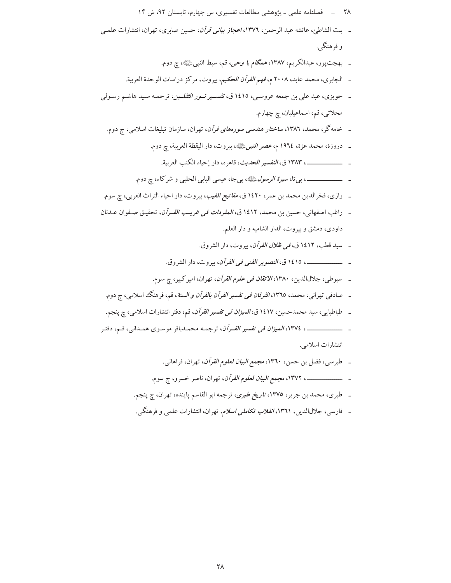- ۲۸ = 1 فصلنامه علمی ـ پژوهشی مطالعات تفسیری، س چهارم، تابستان ۹۲، ش ۱۴ ـ بنت الشاطئ، عائشه عبد الرحمن، ١٣٧٦، *اعجاز بياني قرآن*، حسين صابري، تهران، انتشارات علمـي و فرهنگی. ـ بهجتپور، عبدالكريم، ١٣٨٧، مم*گام با وحي*، قم، سبط النبيﷺ، چ دوم. ـ الجابري، محمد عابد، ٢٠٠٨ م، *فهم القرآن الحكيم*، بيروت، مركز دراسات الوحدة العربية. ـ حويزي، عبد علي بن جمعه عروسـي، ١٤١٥ ق، ت*فســير نــور الثقلــين*، ترجمـه سـيد هاشـم رسـولي محلاتي، قم، اسماعيليان، چ چهارم. ـ خامه گر ، محمد، ۱۳۸٦، *ساختار هندسی سورههای قرآن*، تهران، سازمان تبلیغات اسلامی، چ دوم. ـ دروزة، محمد عزة، ١٩٦٤ م، *عصر النبي*ﷺ، بيروت، دار اليقظة العربية، چ دوم. \_\_\_\_\_\_\_\_\_\_\_\_\_ ١٣٨٣ ق، *التفسير الحديث*، قاهره، دار إحياء الكتب العربية. \_ رازي، فخرالدين محمد بن عمر، ١٤٢٠ ق، *مفاتيح الغيب*، بيروت، دار احياء التراث العربي، ج سوم. ـ راغب اصفهاني، حسين بن محمد، ١٤١٢ ق، *المفردات في غريب القـرآن*، تحقيـق صـفوان عـدنان داودي، دمشق وبيروت، الدار الشاميه و دار العلم. \_ سيد قطب، ١٤١٢ ق، *في ظلال القرآن*، بيروت، دار الشروق. \_\_\_\_\_ ، ١٤١٥ ق، *التصوير الفني في القرآن*، بيروت، دار الشروق. ـ سيوطي، جلالالدين، ١٣٨٠، *الاتقان في علوم القرآن*، تهران، امير كبير، چ سوم. ـ صادقی تهرانی، محمد، ١٣٦٥، *الفرقان فی تفسیر القرآن بالقرآن و السنة*، قم، فرهنگ اسلامی، چ دوم. ـ طباطبايي، سيد محمدحسين، ١٤١٧ ق، *الميزان في تفسير القرآن*، قم، دفتر انتشارات اسلامي، چ پنجم. انتشارات اسلامي. - طبرسي، فضل بن حسن، ١٣٦٠، مجم*ع البيان لعلوم القرآن*، تهران، فراهاني. ـ طبري، محمد بن جرير، ١٣٧٥، ت*اريخ طبري*، ترجمه ابو القاسم پاينده، تهران، چ پنجم.
	- ـ فارسی، جلالاالدین، ۱۳٦۱، *انقلاب تکاملی اسلام*، تهران، انتشارات علمی و فرهنگی.